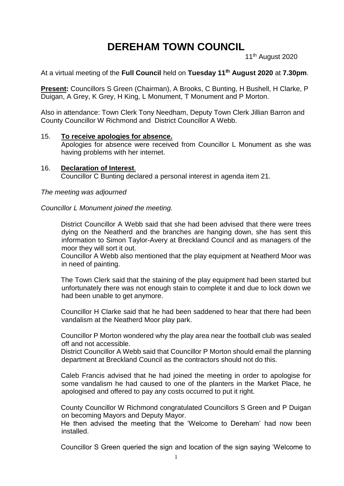# **DEREHAM TOWN COUNCIL**

11<sup>th</sup> August 2020

At a virtual meeting of the **Full Council** held on **Tuesday 11th August 2020** at **7.30pm**.

**Present:** Councillors S Green (Chairman), A Brooks, C Bunting, H Bushell, H Clarke, P Duigan, A Grey, K Grey, H King, L Monument, T Monument and P Morton.

Also in attendance: Town Clerk Tony Needham, Deputy Town Clerk Jillian Barron and County Councillor W Richmond and District Councillor A Webb.

#### 15. **To receive apologies for absence.**

Apologies for absence were received from Councillor L Monument as she was having problems with her internet.

16. **Declaration of Interest**. Councillor C Bunting declared a personal interest in agenda item 21.

*The meeting was adjourned*

#### *Councillor L Monument joined the meeting.*

District Councillor A Webb said that she had been advised that there were trees dying on the Neatherd and the branches are hanging down, she has sent this information to Simon Taylor-Avery at Breckland Council and as managers of the moor they will sort it out.

Councillor A Webb also mentioned that the play equipment at Neatherd Moor was in need of painting.

The Town Clerk said that the staining of the play equipment had been started but unfortunately there was not enough stain to complete it and due to lock down we had been unable to get anymore.

Councillor H Clarke said that he had been saddened to hear that there had been vandalism at the Neatherd Moor play park.

Councillor P Morton wondered why the play area near the football club was sealed off and not accessible.

District Councillor A Webb said that Councillor P Morton should email the planning department at Breckland Council as the contractors should not do this.

Caleb Francis advised that he had joined the meeting in order to apologise for some vandalism he had caused to one of the planters in the Market Place, he apologised and offered to pay any costs occurred to put it right.

County Councillor W Richmond congratulated Councillors S Green and P Duigan on becoming Mayors and Deputy Mayor.

He then advised the meeting that the 'Welcome to Dereham' had now been installed.

Councillor S Green queried the sign and location of the sign saying 'Welcome to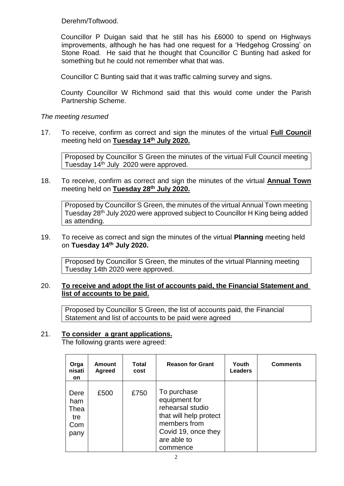Derehm/Toftwood.

Councillor P Duigan said that he still has his £6000 to spend on Highways improvements, although he has had one request for a 'Hedgehog Crossing' on Stone Road. He said that he thought that Councillor C Bunting had asked for something but he could not remember what that was.

Councillor C Bunting said that it was traffic calming survey and signs.

County Councillor W Richmond said that this would come under the Parish Partnership Scheme.

# *The meeting resumed*

17. To receive, confirm as correct and sign the minutes of the virtual **Full Council**  meeting held on **Tuesday 14th July 2020.**

Proposed by Councillor S Green the minutes of the virtual Full Council meeting Tuesday 14th July 2020 were approved.

18. To receive, confirm as correct and sign the minutes of the virtual **Annual Town**  meeting held on **Tuesday 28th July 2020.**

Proposed by Councillor S Green, the minutes of the virtual Annual Town meeting Tuesday 28th July 2020 were approved subject to Councillor H King being added as attending.

#### 19. To receive as correct and sign the minutes of the virtual **Planning** meeting held on **Tuesday 14 th July 2020.**

Proposed by Councillor S Green, the minutes of the virtual Planning meeting Tuesday 14th 2020 were approved.

# 20. **To receive and adopt the list of accounts paid, the Financial Statement and list of accounts to be paid.**

Proposed by Councillor S Green, the list of accounts paid, the Financial Statement and list of accounts to be paid were agreed

## 21. **To consider a grant applications.**

The following grants were agreed:

| Orga<br>nisati<br><b>on</b>               | Amount<br><b>Agreed</b> | Total<br>cost | <b>Reason for Grant</b>                                                                                                                      | Youth<br><b>Leaders</b> | <b>Comments</b> |
|-------------------------------------------|-------------------------|---------------|----------------------------------------------------------------------------------------------------------------------------------------------|-------------------------|-----------------|
| Dere<br>ham<br>Thea<br>tre<br>Com<br>pany | £500                    | £750          | To purchase<br>equipment for<br>rehearsal studio<br>that will help protect<br>members from<br>Covid 19, once they<br>are able to<br>commence |                         |                 |